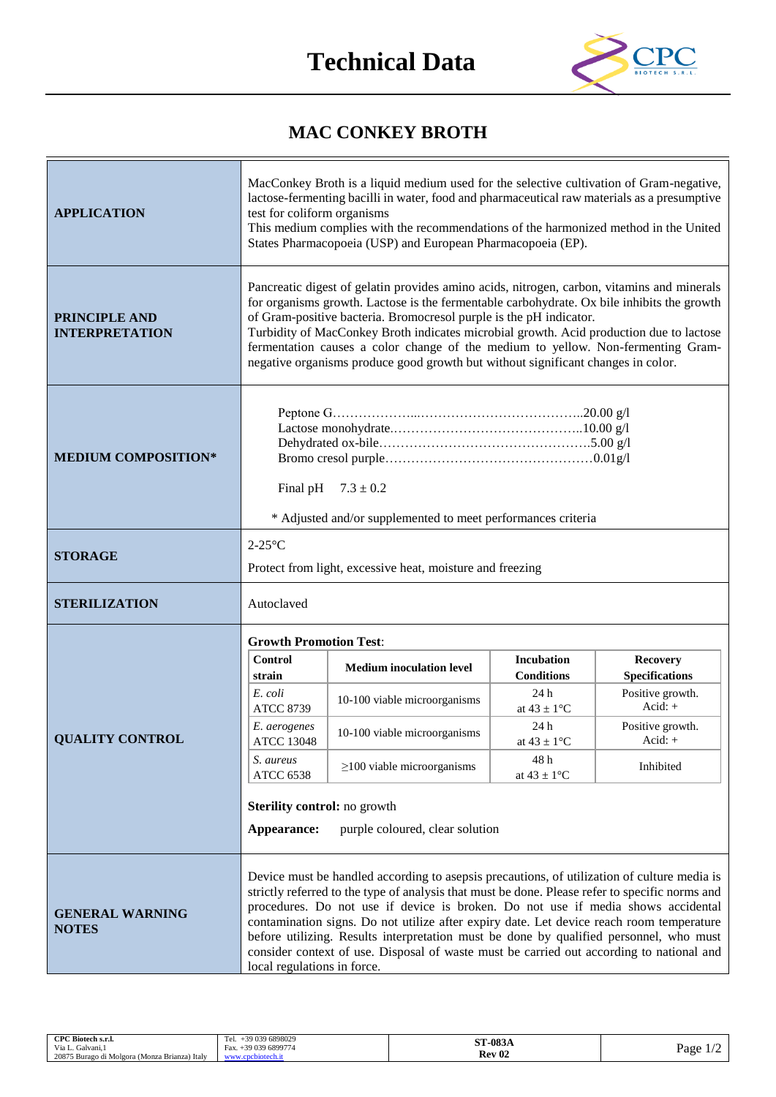

## **MAC CONKEY BROTH**

| <b>APPLICATION</b>                            | MacConkey Broth is a liquid medium used for the selective cultivation of Gram-negative,<br>lactose-fermenting bacilli in water, food and pharmaceutical raw materials as a presumptive<br>test for coliform organisms<br>This medium complies with the recommendations of the harmonized method in the United<br>States Pharmacopoeia (USP) and European Pharmacopoeia (EP).                                                                                                                                                                                                                        |                                  |                                        |                                          |
|-----------------------------------------------|-----------------------------------------------------------------------------------------------------------------------------------------------------------------------------------------------------------------------------------------------------------------------------------------------------------------------------------------------------------------------------------------------------------------------------------------------------------------------------------------------------------------------------------------------------------------------------------------------------|----------------------------------|----------------------------------------|------------------------------------------|
| <b>PRINCIPLE AND</b><br><b>INTERPRETATION</b> | Pancreatic digest of gelatin provides amino acids, nitrogen, carbon, vitamins and minerals<br>for organisms growth. Lactose is the fermentable carbohydrate. Ox bile inhibits the growth<br>of Gram-positive bacteria. Bromocresol purple is the pH indicator.<br>Turbidity of MacConkey Broth indicates microbial growth. Acid production due to lactose<br>fermentation causes a color change of the medium to yellow. Non-fermenting Gram-<br>negative organisms produce good growth but without significant changes in color.                                                                   |                                  |                                        |                                          |
| <b>MEDIUM COMPOSITION*</b>                    | Final pH<br>$7.3 \pm 0.2$<br>* Adjusted and/or supplemented to meet performances criteria                                                                                                                                                                                                                                                                                                                                                                                                                                                                                                           |                                  |                                        |                                          |
|                                               | $2-25$ °C                                                                                                                                                                                                                                                                                                                                                                                                                                                                                                                                                                                           |                                  |                                        |                                          |
| <b>STORAGE</b>                                | Protect from light, excessive heat, moisture and freezing                                                                                                                                                                                                                                                                                                                                                                                                                                                                                                                                           |                                  |                                        |                                          |
| <b>STERILIZATION</b>                          | Autoclaved                                                                                                                                                                                                                                                                                                                                                                                                                                                                                                                                                                                          |                                  |                                        |                                          |
|                                               | <b>Growth Promotion Test:</b>                                                                                                                                                                                                                                                                                                                                                                                                                                                                                                                                                                       |                                  |                                        |                                          |
|                                               | <b>Control</b><br>strain                                                                                                                                                                                                                                                                                                                                                                                                                                                                                                                                                                            | <b>Medium</b> inoculation level  | <b>Incubation</b><br><b>Conditions</b> | <b>Recovery</b><br><b>Specifications</b> |
|                                               | E. coli<br><b>ATCC 8739</b>                                                                                                                                                                                                                                                                                                                                                                                                                                                                                                                                                                         | 10-100 viable microorganisms     | 24 h<br>at $43 \pm 1$ °C               | Positive growth.<br>Acid: $+$            |
| <b>QUALITY CONTROL</b>                        | E. aerogenes<br><b>ATCC 13048</b>                                                                                                                                                                                                                                                                                                                                                                                                                                                                                                                                                                   | 10-100 viable microorganisms     | 24 h<br>at $43 \pm 1$ °C               | Positive growth.<br>Acid: $+$            |
|                                               | S. aureus<br><b>ATCC 6538</b>                                                                                                                                                                                                                                                                                                                                                                                                                                                                                                                                                                       | $\geq$ 100 viable microorganisms | 48h<br>at $43 \pm 1$ °C                | Inhibited                                |
|                                               | <b>Sterility control:</b> no growth                                                                                                                                                                                                                                                                                                                                                                                                                                                                                                                                                                 |                                  |                                        |                                          |
|                                               | purple coloured, clear solution<br>Appearance:                                                                                                                                                                                                                                                                                                                                                                                                                                                                                                                                                      |                                  |                                        |                                          |
| <b>GENERAL WARNING</b><br><b>NOTES</b>        | Device must be handled according to asepsis precautions, of utilization of culture media is<br>strictly referred to the type of analysis that must be done. Please refer to specific norms and<br>procedures. Do not use if device is broken. Do not use if media shows accidental<br>contamination signs. Do not utilize after expiry date. Let device reach room temperature<br>before utilizing. Results interpretation must be done by qualified personnel, who must<br>consider context of use. Disposal of waste must be carried out according to national and<br>local regulations in force. |                                  |                                        |                                          |

| CPC Biotech s.r.l.                            | -39 039 6898029           | <b>ST-083A</b>    |      |
|-----------------------------------------------|---------------------------|-------------------|------|
| Via L.<br>Galvani.                            | $+39.039.6899774$<br>Fax. | Rev <sub>02</sub> | Page |
| 20875 Burago di Molgora (Monza Brianza) Italy | ™ech.it<br>WWW.c.         |                   |      |
|                                               |                           |                   |      |